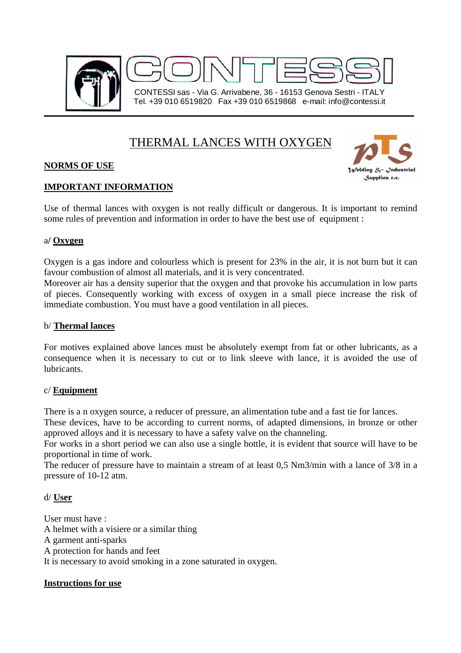

# THERMAL LANCES WITH OXYGEN

# **NORMS OF USE**



# **IMPORTANT INFORMATION**

Use of thermal lances with oxygen is not really difficult or dangerous. It is important to remind some rules of prevention and information in order to have the best use of equipment :

## a**/ Oxygen**

Oxygen is a gas indore and colourless which is present for 23% in the air, it is not burn but it can favour combustion of almost all materials, and it is very concentrated.

Moreover air has a density superior that the oxygen and that provoke his accumulation in low parts of pieces. Consequently working with excess of oxygen in a small piece increase the risk of immediate combustion. You must have a good ventilation in all pieces.

#### b/ **Thermal lances**

For motives explained above lances must be absolutely exempt from fat or other lubricants, as a consequence when it is necessary to cut or to link sleeve with lance, it is avoided the use of lubricants.

## c/ **Equipment**

There is a n oxygen source, a reducer of pressure, an alimentation tube and a fast tie for lances.

These devices, have to be according to current norms, of adapted dimensions, in bronze or other approved alloys and it is necessary to have a safety valve on the channeling.

For works in a short period we can also use a single bottle, it is evident that source will have to be proportional in time of work.

The reducer of pressure have to maintain a stream of at least 0,5 Nm3/min with a lance of 3/8 in a pressure of 10-12 atm.

d/ **User**

User must have : A helmet with a visiere or a similar thing A garment anti-sparks A protection for hands and feet It is necessary to avoid smoking in a zone saturated in oxygen.

## **Instructions for use**